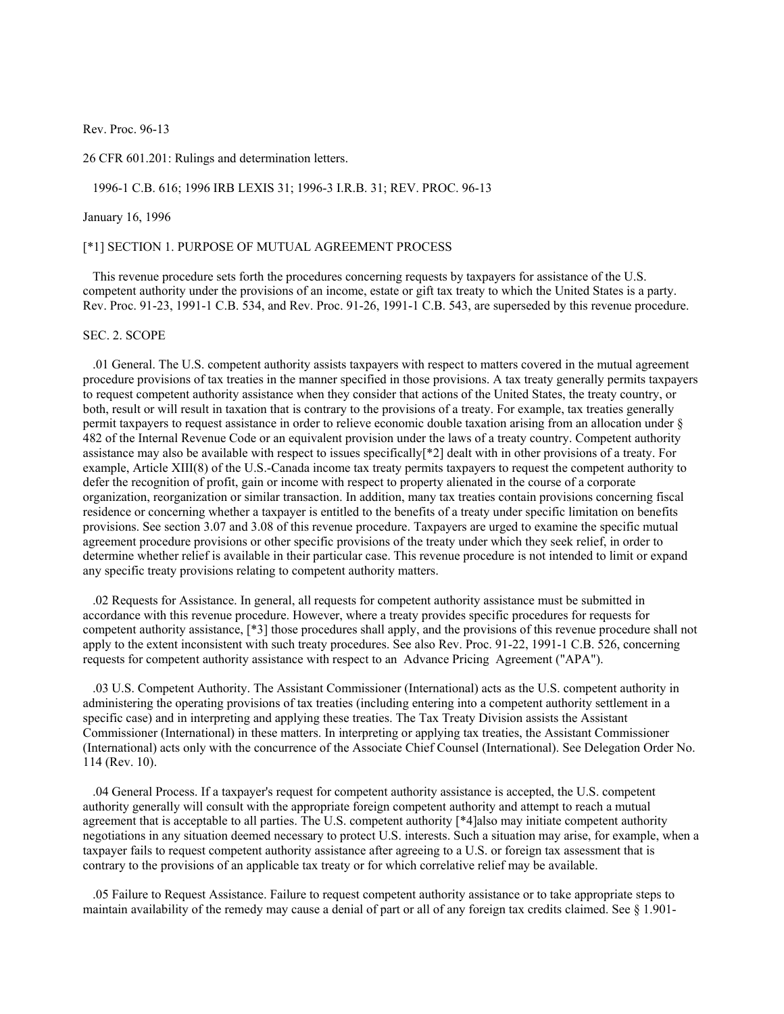Rev. Proc. 96-13

26 CFR 601.201: Rulings and determination letters.

1996-1 C.B. 616; 1996 IRB LEXIS 31; 1996-3 I.R.B. 31; REV. PROC. 96-13

#### January 16, 1996

#### [\*1] SECTION 1. PURPOSE OF MUTUAL AGREEMENT PROCESS

 This revenue procedure sets forth the procedures concerning requests by taxpayers for assistance of the U.S. competent authority under the provisions of an income, estate or gift tax treaty to which the United States is a party. Rev. Proc. 91-23, 1991-1 C.B. 534, and Rev. Proc. 91-26, 1991-1 C.B. 543, are superseded by this revenue procedure.

### SEC. 2. SCOPE

 .01 General. The U.S. competent authority assists taxpayers with respect to matters covered in the mutual agreement procedure provisions of tax treaties in the manner specified in those provisions. A tax treaty generally permits taxpayers to request competent authority assistance when they consider that actions of the United States, the treaty country, or both, result or will result in taxation that is contrary to the provisions of a treaty. For example, tax treaties generally permit taxpayers to request assistance in order to relieve economic double taxation arising from an allocation under § 482 of the Internal Revenue Code or an equivalent provision under the laws of a treaty country. Competent authority assistance may also be available with respect to issues specifically[\*2] dealt with in other provisions of a treaty. For example, Article XIII(8) of the U.S.-Canada income tax treaty permits taxpayers to request the competent authority to defer the recognition of profit, gain or income with respect to property alienated in the course of a corporate organization, reorganization or similar transaction. In addition, many tax treaties contain provisions concerning fiscal residence or concerning whether a taxpayer is entitled to the benefits of a treaty under specific limitation on benefits provisions. See section 3.07 and 3.08 of this revenue procedure. Taxpayers are urged to examine the specific mutual agreement procedure provisions or other specific provisions of the treaty under which they seek relief, in order to determine whether relief is available in their particular case. This revenue procedure is not intended to limit or expand any specific treaty provisions relating to competent authority matters.

 .02 Requests for Assistance. In general, all requests for competent authority assistance must be submitted in accordance with this revenue procedure. However, where a treaty provides specific procedures for requests for competent authority assistance, [\*3] those procedures shall apply, and the provisions of this revenue procedure shall not apply to the extent inconsistent with such treaty procedures. See also Rev. Proc. 91-22, 1991-1 C.B. 526, concerning requests for competent authority assistance with respect to an Advance Pricing Agreement ("APA").

 .03 U.S. Competent Authority. The Assistant Commissioner (International) acts as the U.S. competent authority in administering the operating provisions of tax treaties (including entering into a competent authority settlement in a specific case) and in interpreting and applying these treaties. The Tax Treaty Division assists the Assistant Commissioner (International) in these matters. In interpreting or applying tax treaties, the Assistant Commissioner (International) acts only with the concurrence of the Associate Chief Counsel (International). See Delegation Order No. 114 (Rev. 10).

 .04 General Process. If a taxpayer's request for competent authority assistance is accepted, the U.S. competent authority generally will consult with the appropriate foreign competent authority and attempt to reach a mutual agreement that is acceptable to all parties. The U.S. competent authority [\*4]also may initiate competent authority negotiations in any situation deemed necessary to protect U.S. interests. Such a situation may arise, for example, when a taxpayer fails to request competent authority assistance after agreeing to a U.S. or foreign tax assessment that is contrary to the provisions of an applicable tax treaty or for which correlative relief may be available.

 .05 Failure to Request Assistance. Failure to request competent authority assistance or to take appropriate steps to maintain availability of the remedy may cause a denial of part or all of any foreign tax credits claimed. See § 1.901-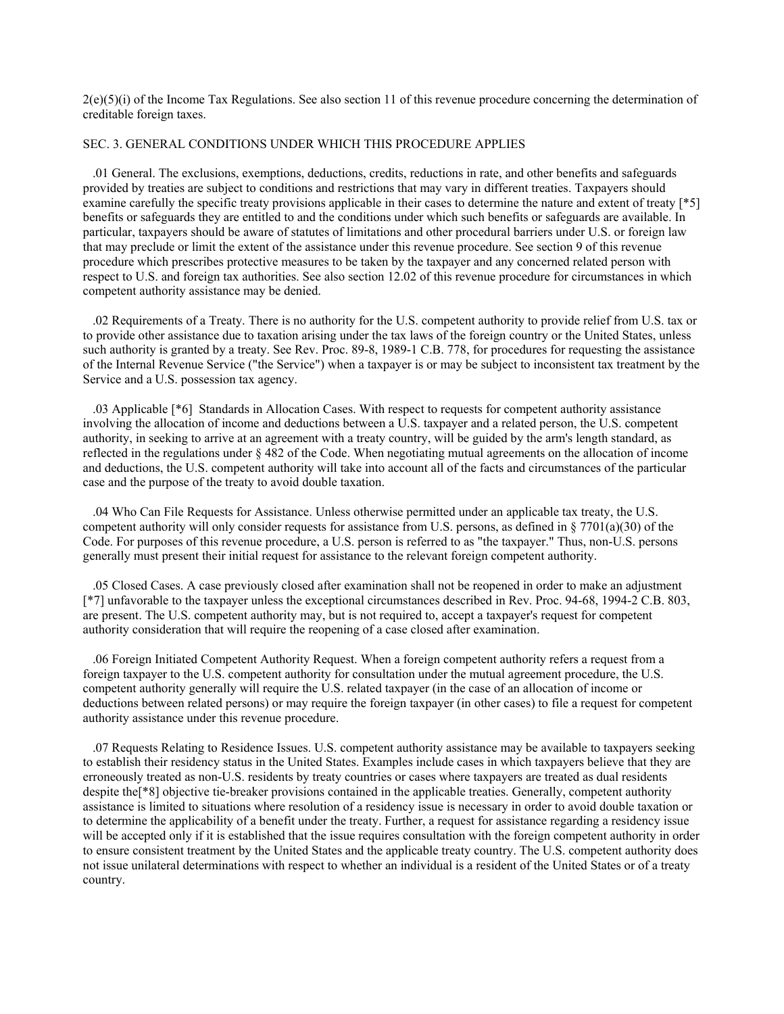$2(e)(5)(i)$  of the Income Tax Regulations. See also section 11 of this revenue procedure concerning the determination of creditable foreign taxes.

#### SEC. 3. GENERAL CONDITIONS UNDER WHICH THIS PROCEDURE APPLIES

 .01 General. The exclusions, exemptions, deductions, credits, reductions in rate, and other benefits and safeguards provided by treaties are subject to conditions and restrictions that may vary in different treaties. Taxpayers should examine carefully the specific treaty provisions applicable in their cases to determine the nature and extent of treaty [\*5] benefits or safeguards they are entitled to and the conditions under which such benefits or safeguards are available. In particular, taxpayers should be aware of statutes of limitations and other procedural barriers under U.S. or foreign law that may preclude or limit the extent of the assistance under this revenue procedure. See section 9 of this revenue procedure which prescribes protective measures to be taken by the taxpayer and any concerned related person with respect to U.S. and foreign tax authorities. See also section 12.02 of this revenue procedure for circumstances in which competent authority assistance may be denied.

 .02 Requirements of a Treaty. There is no authority for the U.S. competent authority to provide relief from U.S. tax or to provide other assistance due to taxation arising under the tax laws of the foreign country or the United States, unless such authority is granted by a treaty. See Rev. Proc. 89-8, 1989-1 C.B. 778, for procedures for requesting the assistance of the Internal Revenue Service ("the Service") when a taxpayer is or may be subject to inconsistent tax treatment by the Service and a U.S. possession tax agency.

 .03 Applicable [\*6] Standards in Allocation Cases. With respect to requests for competent authority assistance involving the allocation of income and deductions between a U.S. taxpayer and a related person, the U.S. competent authority, in seeking to arrive at an agreement with a treaty country, will be guided by the arm's length standard, as reflected in the regulations under § 482 of the Code. When negotiating mutual agreements on the allocation of income and deductions, the U.S. competent authority will take into account all of the facts and circumstances of the particular case and the purpose of the treaty to avoid double taxation.

 .04 Who Can File Requests for Assistance. Unless otherwise permitted under an applicable tax treaty, the U.S. competent authority will only consider requests for assistance from U.S. persons, as defined in  $\S 7701(a)(30)$  of the Code. For purposes of this revenue procedure, a U.S. person is referred to as "the taxpayer." Thus, non-U.S. persons generally must present their initial request for assistance to the relevant foreign competent authority.

 .05 Closed Cases. A case previously closed after examination shall not be reopened in order to make an adjustment [\*7] unfavorable to the taxpayer unless the exceptional circumstances described in Rev. Proc. 94-68, 1994-2 C.B. 803, are present. The U.S. competent authority may, but is not required to, accept a taxpayer's request for competent authority consideration that will require the reopening of a case closed after examination.

 .06 Foreign Initiated Competent Authority Request. When a foreign competent authority refers a request from a foreign taxpayer to the U.S. competent authority for consultation under the mutual agreement procedure, the U.S. competent authority generally will require the U.S. related taxpayer (in the case of an allocation of income or deductions between related persons) or may require the foreign taxpayer (in other cases) to file a request for competent authority assistance under this revenue procedure.

 .07 Requests Relating to Residence Issues. U.S. competent authority assistance may be available to taxpayers seeking to establish their residency status in the United States. Examples include cases in which taxpayers believe that they are erroneously treated as non-U.S. residents by treaty countries or cases where taxpayers are treated as dual residents despite the[\*8] objective tie-breaker provisions contained in the applicable treaties. Generally, competent authority assistance is limited to situations where resolution of a residency issue is necessary in order to avoid double taxation or to determine the applicability of a benefit under the treaty. Further, a request for assistance regarding a residency issue will be accepted only if it is established that the issue requires consultation with the foreign competent authority in order to ensure consistent treatment by the United States and the applicable treaty country. The U.S. competent authority does not issue unilateral determinations with respect to whether an individual is a resident of the United States or of a treaty country.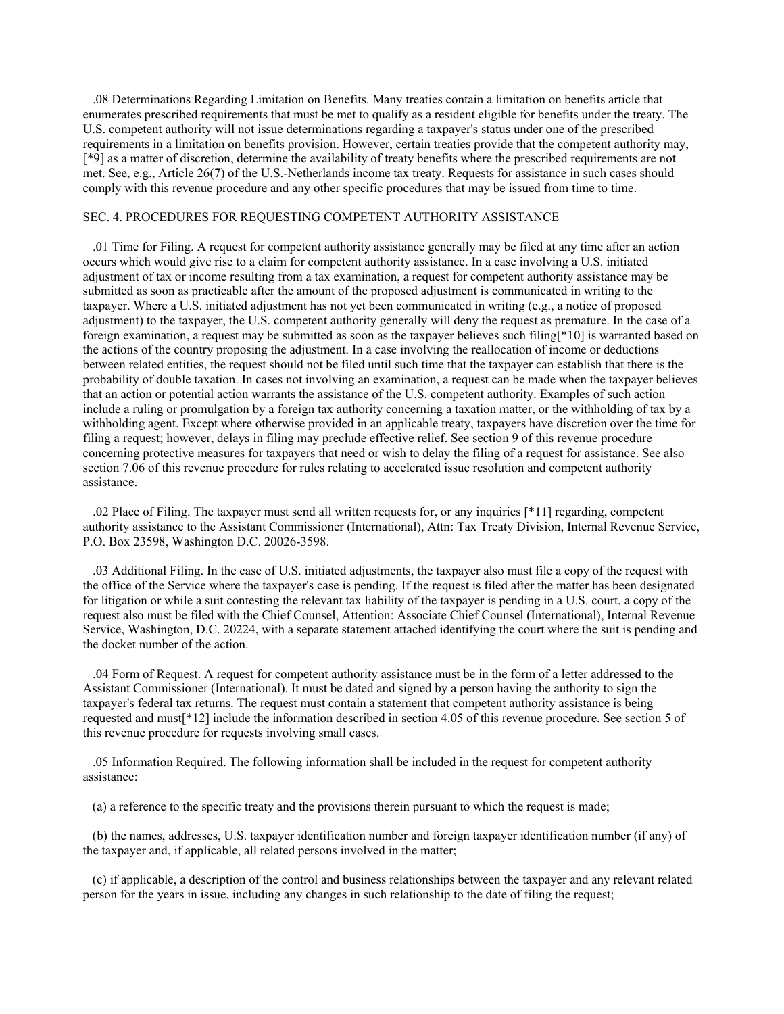.08 Determinations Regarding Limitation on Benefits. Many treaties contain a limitation on benefits article that enumerates prescribed requirements that must be met to qualify as a resident eligible for benefits under the treaty. The U.S. competent authority will not issue determinations regarding a taxpayer's status under one of the prescribed requirements in a limitation on benefits provision. However, certain treaties provide that the competent authority may, [\*9] as a matter of discretion, determine the availability of treaty benefits where the prescribed requirements are not met. See, e.g., Article 26(7) of the U.S.-Netherlands income tax treaty. Requests for assistance in such cases should comply with this revenue procedure and any other specific procedures that may be issued from time to time.

### SEC. 4. PROCEDURES FOR REQUESTING COMPETENT AUTHORITY ASSISTANCE

 .01 Time for Filing. A request for competent authority assistance generally may be filed at any time after an action occurs which would give rise to a claim for competent authority assistance. In a case involving a U.S. initiated adjustment of tax or income resulting from a tax examination, a request for competent authority assistance may be submitted as soon as practicable after the amount of the proposed adjustment is communicated in writing to the taxpayer. Where a U.S. initiated adjustment has not yet been communicated in writing (e.g., a notice of proposed adjustment) to the taxpayer, the U.S. competent authority generally will deny the request as premature. In the case of a foreign examination, a request may be submitted as soon as the taxpayer believes such filing[\*10] is warranted based on the actions of the country proposing the adjustment. In a case involving the reallocation of income or deductions between related entities, the request should not be filed until such time that the taxpayer can establish that there is the probability of double taxation. In cases not involving an examination, a request can be made when the taxpayer believes that an action or potential action warrants the assistance of the U.S. competent authority. Examples of such action include a ruling or promulgation by a foreign tax authority concerning a taxation matter, or the withholding of tax by a withholding agent. Except where otherwise provided in an applicable treaty, taxpayers have discretion over the time for filing a request; however, delays in filing may preclude effective relief. See section 9 of this revenue procedure concerning protective measures for taxpayers that need or wish to delay the filing of a request for assistance. See also section 7.06 of this revenue procedure for rules relating to accelerated issue resolution and competent authority assistance.

 .02 Place of Filing. The taxpayer must send all written requests for, or any inquiries [\*11] regarding, competent authority assistance to the Assistant Commissioner (International), Attn: Tax Treaty Division, Internal Revenue Service, P.O. Box 23598, Washington D.C. 20026-3598.

 .03 Additional Filing. In the case of U.S. initiated adjustments, the taxpayer also must file a copy of the request with the office of the Service where the taxpayer's case is pending. If the request is filed after the matter has been designated for litigation or while a suit contesting the relevant tax liability of the taxpayer is pending in a U.S. court, a copy of the request also must be filed with the Chief Counsel, Attention: Associate Chief Counsel (International), Internal Revenue Service, Washington, D.C. 20224, with a separate statement attached identifying the court where the suit is pending and the docket number of the action.

 .04 Form of Request. A request for competent authority assistance must be in the form of a letter addressed to the Assistant Commissioner (International). It must be dated and signed by a person having the authority to sign the taxpayer's federal tax returns. The request must contain a statement that competent authority assistance is being requested and must[\*12] include the information described in section 4.05 of this revenue procedure. See section 5 of this revenue procedure for requests involving small cases.

 .05 Information Required. The following information shall be included in the request for competent authority assistance:

(a) a reference to the specific treaty and the provisions therein pursuant to which the request is made;

 (b) the names, addresses, U.S. taxpayer identification number and foreign taxpayer identification number (if any) of the taxpayer and, if applicable, all related persons involved in the matter;

 (c) if applicable, a description of the control and business relationships between the taxpayer and any relevant related person for the years in issue, including any changes in such relationship to the date of filing the request;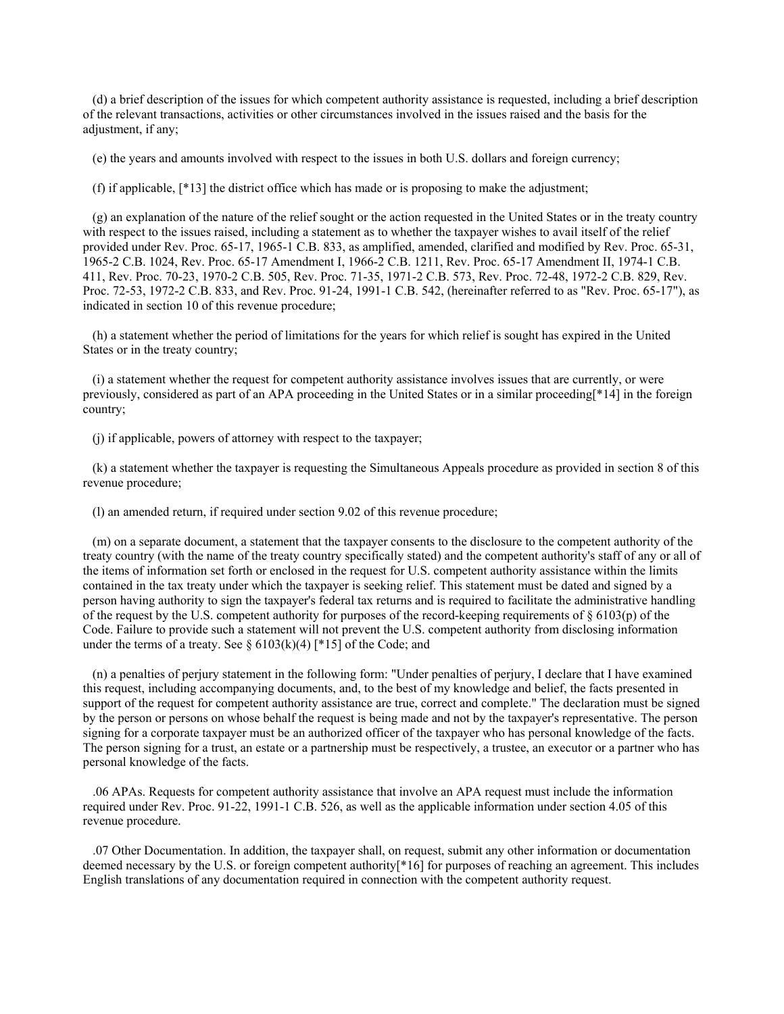(d) a brief description of the issues for which competent authority assistance is requested, including a brief description of the relevant transactions, activities or other circumstances involved in the issues raised and the basis for the adjustment, if any:

(e) the years and amounts involved with respect to the issues in both U.S. dollars and foreign currency;

(f) if applicable, [\*13] the district office which has made or is proposing to make the adjustment;

 (g) an explanation of the nature of the relief sought or the action requested in the United States or in the treaty country with respect to the issues raised, including a statement as to whether the taxpayer wishes to avail itself of the relief provided under Rev. Proc. 65-17, 1965-1 C.B. 833, as amplified, amended, clarified and modified by Rev. Proc. 65-31, 1965-2 C.B. 1024, Rev. Proc. 65-17 Amendment I, 1966-2 C.B. 1211, Rev. Proc. 65-17 Amendment II, 1974-1 C.B. 411, Rev. Proc. 70-23, 1970-2 C.B. 505, Rev. Proc. 71-35, 1971-2 C.B. 573, Rev. Proc. 72-48, 1972-2 C.B. 829, Rev. Proc. 72-53, 1972-2 C.B. 833, and Rev. Proc. 91-24, 1991-1 C.B. 542, (hereinafter referred to as "Rev. Proc. 65-17"), as indicated in section 10 of this revenue procedure;

 (h) a statement whether the period of limitations for the years for which relief is sought has expired in the United States or in the treaty country;

 (i) a statement whether the request for competent authority assistance involves issues that are currently, or were previously, considered as part of an APA proceeding in the United States or in a similar proceeding[\*14] in the foreign country;

(j) if applicable, powers of attorney with respect to the taxpayer;

 (k) a statement whether the taxpayer is requesting the Simultaneous Appeals procedure as provided in section 8 of this revenue procedure;

(l) an amended return, if required under section 9.02 of this revenue procedure;

 (m) on a separate document, a statement that the taxpayer consents to the disclosure to the competent authority of the treaty country (with the name of the treaty country specifically stated) and the competent authority's staff of any or all of the items of information set forth or enclosed in the request for U.S. competent authority assistance within the limits contained in the tax treaty under which the taxpayer is seeking relief. This statement must be dated and signed by a person having authority to sign the taxpayer's federal tax returns and is required to facilitate the administrative handling of the request by the U.S. competent authority for purposes of the record-keeping requirements of § 6103(p) of the Code. Failure to provide such a statement will not prevent the U.S. competent authority from disclosing information under the terms of a treaty. See §  $6103(k)(4)$  [ $*15$ ] of the Code; and

 (n) a penalties of perjury statement in the following form: "Under penalties of perjury, I declare that I have examined this request, including accompanying documents, and, to the best of my knowledge and belief, the facts presented in support of the request for competent authority assistance are true, correct and complete." The declaration must be signed by the person or persons on whose behalf the request is being made and not by the taxpayer's representative. The person signing for a corporate taxpayer must be an authorized officer of the taxpayer who has personal knowledge of the facts. The person signing for a trust, an estate or a partnership must be respectively, a trustee, an executor or a partner who has personal knowledge of the facts.

 .06 APAs. Requests for competent authority assistance that involve an APA request must include the information required under Rev. Proc. 91-22, 1991-1 C.B. 526, as well as the applicable information under section 4.05 of this revenue procedure.

 .07 Other Documentation. In addition, the taxpayer shall, on request, submit any other information or documentation deemed necessary by the U.S. or foreign competent authority[\*16] for purposes of reaching an agreement. This includes English translations of any documentation required in connection with the competent authority request.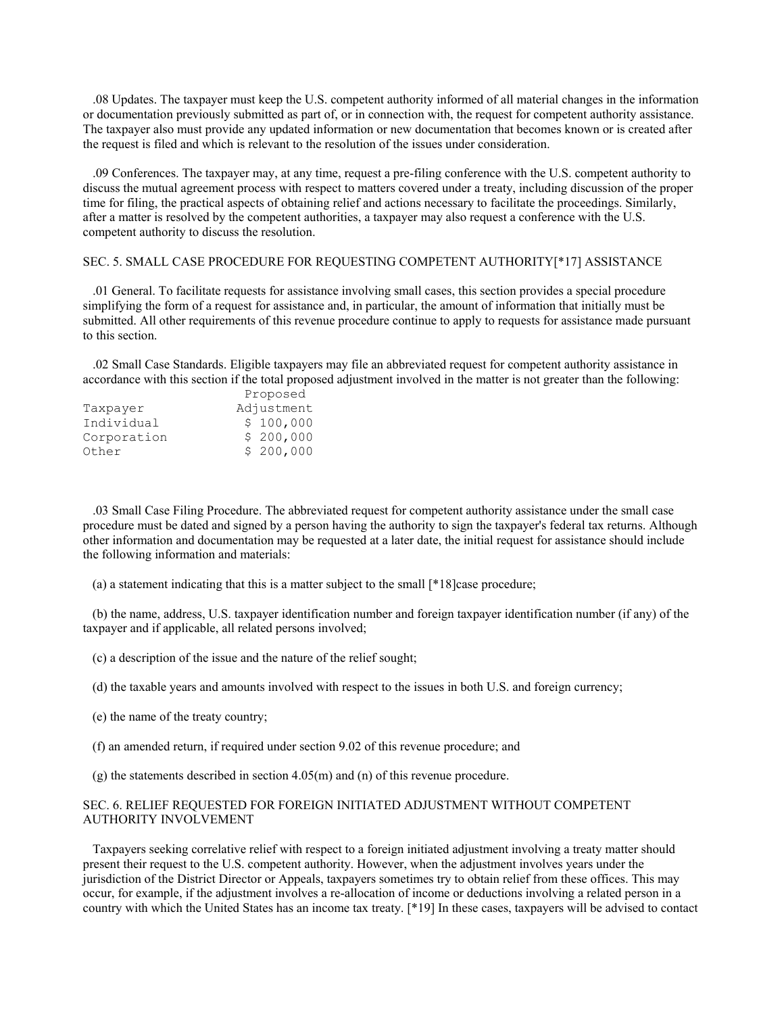.08 Updates. The taxpayer must keep the U.S. competent authority informed of all material changes in the information or documentation previously submitted as part of, or in connection with, the request for competent authority assistance. The taxpayer also must provide any updated information or new documentation that becomes known or is created after the request is filed and which is relevant to the resolution of the issues under consideration.

 .09 Conferences. The taxpayer may, at any time, request a pre-filing conference with the U.S. competent authority to discuss the mutual agreement process with respect to matters covered under a treaty, including discussion of the proper time for filing, the practical aspects of obtaining relief and actions necessary to facilitate the proceedings. Similarly, after a matter is resolved by the competent authorities, a taxpayer may also request a conference with the U.S. competent authority to discuss the resolution.

# SEC. 5. SMALL CASE PROCEDURE FOR REQUESTING COMPETENT AUTHORITY[\*17] ASSISTANCE

 .01 General. To facilitate requests for assistance involving small cases, this section provides a special procedure simplifying the form of a request for assistance and, in particular, the amount of information that initially must be submitted. All other requirements of this revenue procedure continue to apply to requests for assistance made pursuant to this section.

 .02 Small Case Standards. Eligible taxpayers may file an abbreviated request for competent authority assistance in accordance with this section if the total proposed adjustment involved in the matter is not greater than the following:

|             | Proposed   |
|-------------|------------|
| Taxpayer    | Adjustment |
| Individual  | \$100,000  |
| Corporation | \$200,000  |
| Other       | \$200,000  |

 .03 Small Case Filing Procedure. The abbreviated request for competent authority assistance under the small case procedure must be dated and signed by a person having the authority to sign the taxpayer's federal tax returns. Although other information and documentation may be requested at a later date, the initial request for assistance should include the following information and materials:

(a) a statement indicating that this is a matter subject to the small [\*18]case procedure;

 (b) the name, address, U.S. taxpayer identification number and foreign taxpayer identification number (if any) of the taxpayer and if applicable, all related persons involved;

- (c) a description of the issue and the nature of the relief sought;
- (d) the taxable years and amounts involved with respect to the issues in both U.S. and foreign currency;
- (e) the name of the treaty country;
- (f) an amended return, if required under section 9.02 of this revenue procedure; and
- (g) the statements described in section 4.05(m) and (n) of this revenue procedure.

# SEC. 6. RELIEF REQUESTED FOR FOREIGN INITIATED ADJUSTMENT WITHOUT COMPETENT AUTHORITY INVOLVEMENT

 Taxpayers seeking correlative relief with respect to a foreign initiated adjustment involving a treaty matter should present their request to the U.S. competent authority. However, when the adjustment involves years under the jurisdiction of the District Director or Appeals, taxpayers sometimes try to obtain relief from these offices. This may occur, for example, if the adjustment involves a re-allocation of income or deductions involving a related person in a country with which the United States has an income tax treaty. [\*19] In these cases, taxpayers will be advised to contact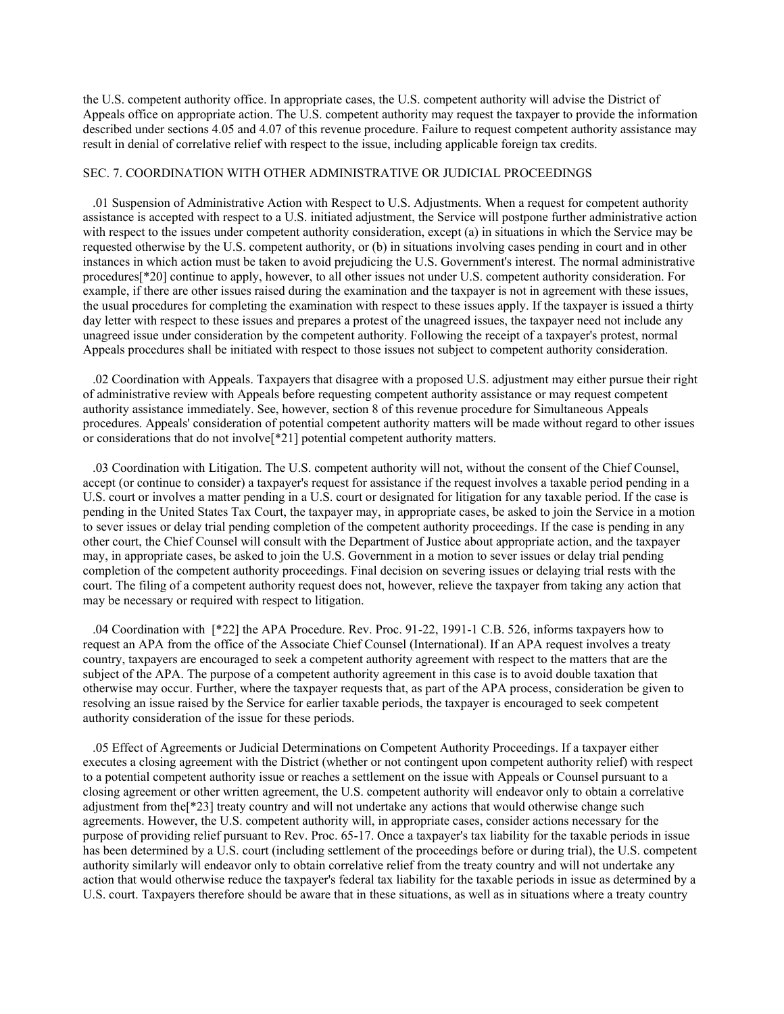the U.S. competent authority office. In appropriate cases, the U.S. competent authority will advise the District of Appeals office on appropriate action. The U.S. competent authority may request the taxpayer to provide the information described under sections 4.05 and 4.07 of this revenue procedure. Failure to request competent authority assistance may result in denial of correlative relief with respect to the issue, including applicable foreign tax credits.

# SEC. 7. COORDINATION WITH OTHER ADMINISTRATIVE OR JUDICIAL PROCEEDINGS

 .01 Suspension of Administrative Action with Respect to U.S. Adjustments. When a request for competent authority assistance is accepted with respect to a U.S. initiated adjustment, the Service will postpone further administrative action with respect to the issues under competent authority consideration, except (a) in situations in which the Service may be requested otherwise by the U.S. competent authority, or (b) in situations involving cases pending in court and in other instances in which action must be taken to avoid prejudicing the U.S. Government's interest. The normal administrative procedures[\*20] continue to apply, however, to all other issues not under U.S. competent authority consideration. For example, if there are other issues raised during the examination and the taxpayer is not in agreement with these issues, the usual procedures for completing the examination with respect to these issues apply. If the taxpayer is issued a thirty day letter with respect to these issues and prepares a protest of the unagreed issues, the taxpayer need not include any unagreed issue under consideration by the competent authority. Following the receipt of a taxpayer's protest, normal Appeals procedures shall be initiated with respect to those issues not subject to competent authority consideration.

 .02 Coordination with Appeals. Taxpayers that disagree with a proposed U.S. adjustment may either pursue their right of administrative review with Appeals before requesting competent authority assistance or may request competent authority assistance immediately. See, however, section 8 of this revenue procedure for Simultaneous Appeals procedures. Appeals' consideration of potential competent authority matters will be made without regard to other issues or considerations that do not involve[\*21] potential competent authority matters.

 .03 Coordination with Litigation. The U.S. competent authority will not, without the consent of the Chief Counsel, accept (or continue to consider) a taxpayer's request for assistance if the request involves a taxable period pending in a U.S. court or involves a matter pending in a U.S. court or designated for litigation for any taxable period. If the case is pending in the United States Tax Court, the taxpayer may, in appropriate cases, be asked to join the Service in a motion to sever issues or delay trial pending completion of the competent authority proceedings. If the case is pending in any other court, the Chief Counsel will consult with the Department of Justice about appropriate action, and the taxpayer may, in appropriate cases, be asked to join the U.S. Government in a motion to sever issues or delay trial pending completion of the competent authority proceedings. Final decision on severing issues or delaying trial rests with the court. The filing of a competent authority request does not, however, relieve the taxpayer from taking any action that may be necessary or required with respect to litigation.

 .04 Coordination with [\*22] the APA Procedure. Rev. Proc. 91-22, 1991-1 C.B. 526, informs taxpayers how to request an APA from the office of the Associate Chief Counsel (International). If an APA request involves a treaty country, taxpayers are encouraged to seek a competent authority agreement with respect to the matters that are the subject of the APA. The purpose of a competent authority agreement in this case is to avoid double taxation that otherwise may occur. Further, where the taxpayer requests that, as part of the APA process, consideration be given to resolving an issue raised by the Service for earlier taxable periods, the taxpayer is encouraged to seek competent authority consideration of the issue for these periods.

 .05 Effect of Agreements or Judicial Determinations on Competent Authority Proceedings. If a taxpayer either executes a closing agreement with the District (whether or not contingent upon competent authority relief) with respect to a potential competent authority issue or reaches a settlement on the issue with Appeals or Counsel pursuant to a closing agreement or other written agreement, the U.S. competent authority will endeavor only to obtain a correlative adjustment from the[\*23] treaty country and will not undertake any actions that would otherwise change such agreements. However, the U.S. competent authority will, in appropriate cases, consider actions necessary for the purpose of providing relief pursuant to Rev. Proc. 65-17. Once a taxpayer's tax liability for the taxable periods in issue has been determined by a U.S. court (including settlement of the proceedings before or during trial), the U.S. competent authority similarly will endeavor only to obtain correlative relief from the treaty country and will not undertake any action that would otherwise reduce the taxpayer's federal tax liability for the taxable periods in issue as determined by a U.S. court. Taxpayers therefore should be aware that in these situations, as well as in situations where a treaty country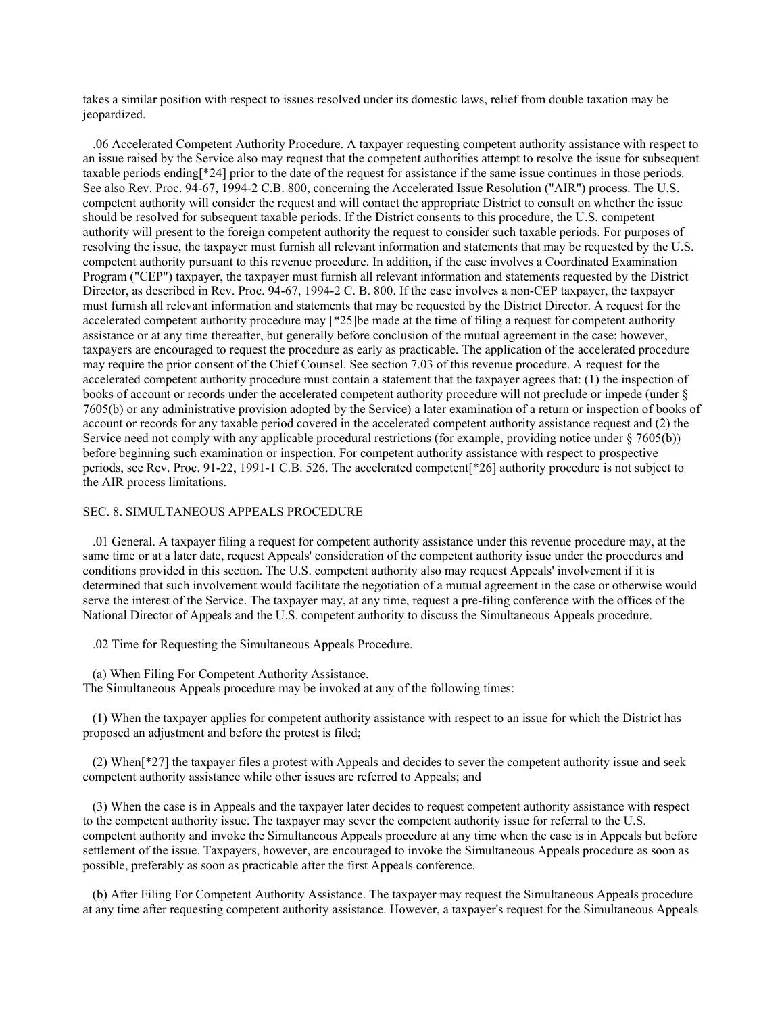takes a similar position with respect to issues resolved under its domestic laws, relief from double taxation may be jeopardized.

 .06 Accelerated Competent Authority Procedure. A taxpayer requesting competent authority assistance with respect to an issue raised by the Service also may request that the competent authorities attempt to resolve the issue for subsequent taxable periods ending[\*24] prior to the date of the request for assistance if the same issue continues in those periods. See also Rev. Proc. 94-67, 1994-2 C.B. 800, concerning the Accelerated Issue Resolution ("AIR") process. The U.S. competent authority will consider the request and will contact the appropriate District to consult on whether the issue should be resolved for subsequent taxable periods. If the District consents to this procedure, the U.S. competent authority will present to the foreign competent authority the request to consider such taxable periods. For purposes of resolving the issue, the taxpayer must furnish all relevant information and statements that may be requested by the U.S. competent authority pursuant to this revenue procedure. In addition, if the case involves a Coordinated Examination Program ("CEP") taxpayer, the taxpayer must furnish all relevant information and statements requested by the District Director, as described in Rev. Proc. 94-67, 1994-2 C. B. 800. If the case involves a non-CEP taxpayer, the taxpayer must furnish all relevant information and statements that may be requested by the District Director. A request for the accelerated competent authority procedure may [\*25]be made at the time of filing a request for competent authority assistance or at any time thereafter, but generally before conclusion of the mutual agreement in the case; however, taxpayers are encouraged to request the procedure as early as practicable. The application of the accelerated procedure may require the prior consent of the Chief Counsel. See section 7.03 of this revenue procedure. A request for the accelerated competent authority procedure must contain a statement that the taxpayer agrees that: (1) the inspection of books of account or records under the accelerated competent authority procedure will not preclude or impede (under § 7605(b) or any administrative provision adopted by the Service) a later examination of a return or inspection of books of account or records for any taxable period covered in the accelerated competent authority assistance request and (2) the Service need not comply with any applicable procedural restrictions (for example, providing notice under § 7605(b)) before beginning such examination or inspection. For competent authority assistance with respect to prospective periods, see Rev. Proc. 91-22, 1991-1 C.B. 526. The accelerated competent[\*26] authority procedure is not subject to the AIR process limitations.

# SEC. 8. SIMULTANEOUS APPEALS PROCEDURE

 .01 General. A taxpayer filing a request for competent authority assistance under this revenue procedure may, at the same time or at a later date, request Appeals' consideration of the competent authority issue under the procedures and conditions provided in this section. The U.S. competent authority also may request Appeals' involvement if it is determined that such involvement would facilitate the negotiation of a mutual agreement in the case or otherwise would serve the interest of the Service. The taxpayer may, at any time, request a pre-filing conference with the offices of the National Director of Appeals and the U.S. competent authority to discuss the Simultaneous Appeals procedure.

.02 Time for Requesting the Simultaneous Appeals Procedure.

(a) When Filing For Competent Authority Assistance.

The Simultaneous Appeals procedure may be invoked at any of the following times:

 (1) When the taxpayer applies for competent authority assistance with respect to an issue for which the District has proposed an adjustment and before the protest is filed;

 (2) When[\*27] the taxpayer files a protest with Appeals and decides to sever the competent authority issue and seek competent authority assistance while other issues are referred to Appeals; and

 (3) When the case is in Appeals and the taxpayer later decides to request competent authority assistance with respect to the competent authority issue. The taxpayer may sever the competent authority issue for referral to the U.S. competent authority and invoke the Simultaneous Appeals procedure at any time when the case is in Appeals but before settlement of the issue. Taxpayers, however, are encouraged to invoke the Simultaneous Appeals procedure as soon as possible, preferably as soon as practicable after the first Appeals conference.

 (b) After Filing For Competent Authority Assistance. The taxpayer may request the Simultaneous Appeals procedure at any time after requesting competent authority assistance. However, a taxpayer's request for the Simultaneous Appeals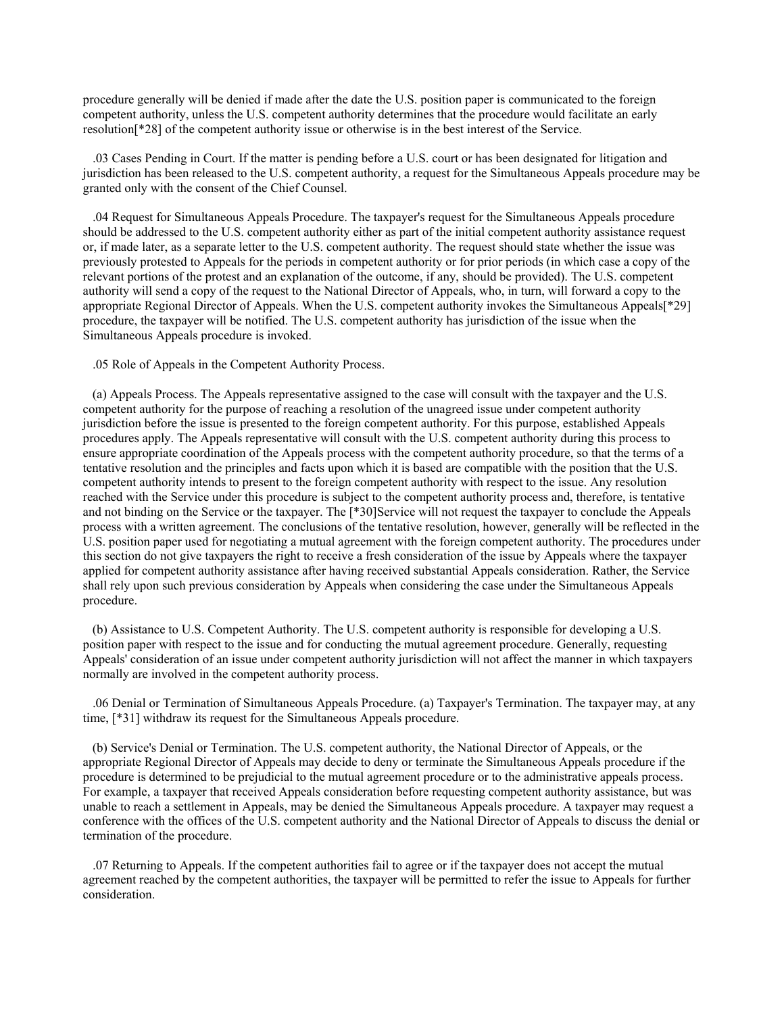procedure generally will be denied if made after the date the U.S. position paper is communicated to the foreign competent authority, unless the U.S. competent authority determines that the procedure would facilitate an early resolution[\*28] of the competent authority issue or otherwise is in the best interest of the Service.

 .03 Cases Pending in Court. If the matter is pending before a U.S. court or has been designated for litigation and jurisdiction has been released to the U.S. competent authority, a request for the Simultaneous Appeals procedure may be granted only with the consent of the Chief Counsel.

 .04 Request for Simultaneous Appeals Procedure. The taxpayer's request for the Simultaneous Appeals procedure should be addressed to the U.S. competent authority either as part of the initial competent authority assistance request or, if made later, as a separate letter to the U.S. competent authority. The request should state whether the issue was previously protested to Appeals for the periods in competent authority or for prior periods (in which case a copy of the relevant portions of the protest and an explanation of the outcome, if any, should be provided). The U.S. competent authority will send a copy of the request to the National Director of Appeals, who, in turn, will forward a copy to the appropriate Regional Director of Appeals. When the U.S. competent authority invokes the Simultaneous Appeals[\*29] procedure, the taxpayer will be notified. The U.S. competent authority has jurisdiction of the issue when the Simultaneous Appeals procedure is invoked.

.05 Role of Appeals in the Competent Authority Process.

 (a) Appeals Process. The Appeals representative assigned to the case will consult with the taxpayer and the U.S. competent authority for the purpose of reaching a resolution of the unagreed issue under competent authority jurisdiction before the issue is presented to the foreign competent authority. For this purpose, established Appeals procedures apply. The Appeals representative will consult with the U.S. competent authority during this process to ensure appropriate coordination of the Appeals process with the competent authority procedure, so that the terms of a tentative resolution and the principles and facts upon which it is based are compatible with the position that the U.S. competent authority intends to present to the foreign competent authority with respect to the issue. Any resolution reached with the Service under this procedure is subject to the competent authority process and, therefore, is tentative and not binding on the Service or the taxpayer. The [\*30]Service will not request the taxpayer to conclude the Appeals process with a written agreement. The conclusions of the tentative resolution, however, generally will be reflected in the U.S. position paper used for negotiating a mutual agreement with the foreign competent authority. The procedures under this section do not give taxpayers the right to receive a fresh consideration of the issue by Appeals where the taxpayer applied for competent authority assistance after having received substantial Appeals consideration. Rather, the Service shall rely upon such previous consideration by Appeals when considering the case under the Simultaneous Appeals procedure.

 (b) Assistance to U.S. Competent Authority. The U.S. competent authority is responsible for developing a U.S. position paper with respect to the issue and for conducting the mutual agreement procedure. Generally, requesting Appeals' consideration of an issue under competent authority jurisdiction will not affect the manner in which taxpayers normally are involved in the competent authority process.

 .06 Denial or Termination of Simultaneous Appeals Procedure. (a) Taxpayer's Termination. The taxpayer may, at any time, [\*31] withdraw its request for the Simultaneous Appeals procedure.

 (b) Service's Denial or Termination. The U.S. competent authority, the National Director of Appeals, or the appropriate Regional Director of Appeals may decide to deny or terminate the Simultaneous Appeals procedure if the procedure is determined to be prejudicial to the mutual agreement procedure or to the administrative appeals process. For example, a taxpayer that received Appeals consideration before requesting competent authority assistance, but was unable to reach a settlement in Appeals, may be denied the Simultaneous Appeals procedure. A taxpayer may request a conference with the offices of the U.S. competent authority and the National Director of Appeals to discuss the denial or termination of the procedure.

 .07 Returning to Appeals. If the competent authorities fail to agree or if the taxpayer does not accept the mutual agreement reached by the competent authorities, the taxpayer will be permitted to refer the issue to Appeals for further consideration.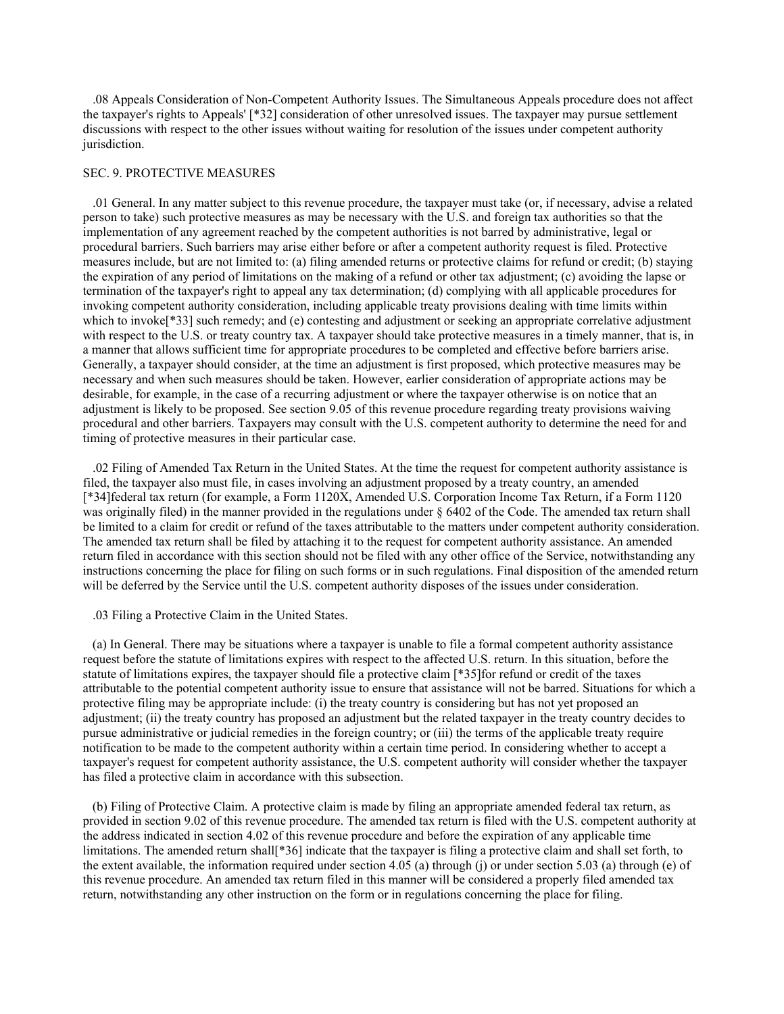.08 Appeals Consideration of Non-Competent Authority Issues. The Simultaneous Appeals procedure does not affect the taxpayer's rights to Appeals' [\*32] consideration of other unresolved issues. The taxpayer may pursue settlement discussions with respect to the other issues without waiting for resolution of the issues under competent authority jurisdiction.

## SEC. 9. PROTECTIVE MEASURES

 .01 General. In any matter subject to this revenue procedure, the taxpayer must take (or, if necessary, advise a related person to take) such protective measures as may be necessary with the U.S. and foreign tax authorities so that the implementation of any agreement reached by the competent authorities is not barred by administrative, legal or procedural barriers. Such barriers may arise either before or after a competent authority request is filed. Protective measures include, but are not limited to: (a) filing amended returns or protective claims for refund or credit; (b) staying the expiration of any period of limitations on the making of a refund or other tax adjustment; (c) avoiding the lapse or termination of the taxpayer's right to appeal any tax determination; (d) complying with all applicable procedures for invoking competent authority consideration, including applicable treaty provisions dealing with time limits within which to invoke<sup>[\*33]</sup> such remedy; and (e) contesting and adjustment or seeking an appropriate correlative adjustment with respect to the U.S. or treaty country tax. A taxpayer should take protective measures in a timely manner, that is, in a manner that allows sufficient time for appropriate procedures to be completed and effective before barriers arise. Generally, a taxpayer should consider, at the time an adjustment is first proposed, which protective measures may be necessary and when such measures should be taken. However, earlier consideration of appropriate actions may be desirable, for example, in the case of a recurring adjustment or where the taxpayer otherwise is on notice that an adjustment is likely to be proposed. See section 9.05 of this revenue procedure regarding treaty provisions waiving procedural and other barriers. Taxpayers may consult with the U.S. competent authority to determine the need for and timing of protective measures in their particular case.

 .02 Filing of Amended Tax Return in the United States. At the time the request for competent authority assistance is filed, the taxpayer also must file, in cases involving an adjustment proposed by a treaty country, an amended [\*34]federal tax return (for example, a Form 1120X, Amended U.S. Corporation Income Tax Return, if a Form 1120 was originally filed) in the manner provided in the regulations under § 6402 of the Code. The amended tax return shall be limited to a claim for credit or refund of the taxes attributable to the matters under competent authority consideration. The amended tax return shall be filed by attaching it to the request for competent authority assistance. An amended return filed in accordance with this section should not be filed with any other office of the Service, notwithstanding any instructions concerning the place for filing on such forms or in such regulations. Final disposition of the amended return will be deferred by the Service until the U.S. competent authority disposes of the issues under consideration.

### .03 Filing a Protective Claim in the United States.

 (a) In General. There may be situations where a taxpayer is unable to file a formal competent authority assistance request before the statute of limitations expires with respect to the affected U.S. return. In this situation, before the statute of limitations expires, the taxpayer should file a protective claim [\*35]for refund or credit of the taxes attributable to the potential competent authority issue to ensure that assistance will not be barred. Situations for which a protective filing may be appropriate include: (i) the treaty country is considering but has not yet proposed an adjustment; (ii) the treaty country has proposed an adjustment but the related taxpayer in the treaty country decides to pursue administrative or judicial remedies in the foreign country; or (iii) the terms of the applicable treaty require notification to be made to the competent authority within a certain time period. In considering whether to accept a taxpayer's request for competent authority assistance, the U.S. competent authority will consider whether the taxpayer has filed a protective claim in accordance with this subsection.

 (b) Filing of Protective Claim. A protective claim is made by filing an appropriate amended federal tax return, as provided in section 9.02 of this revenue procedure. The amended tax return is filed with the U.S. competent authority at the address indicated in section 4.02 of this revenue procedure and before the expiration of any applicable time limitations. The amended return shall<sup>[\*36]</sup> indicate that the taxpayer is filing a protective claim and shall set forth, to the extent available, the information required under section 4.05 (a) through (j) or under section 5.03 (a) through (e) of this revenue procedure. An amended tax return filed in this manner will be considered a properly filed amended tax return, notwithstanding any other instruction on the form or in regulations concerning the place for filing.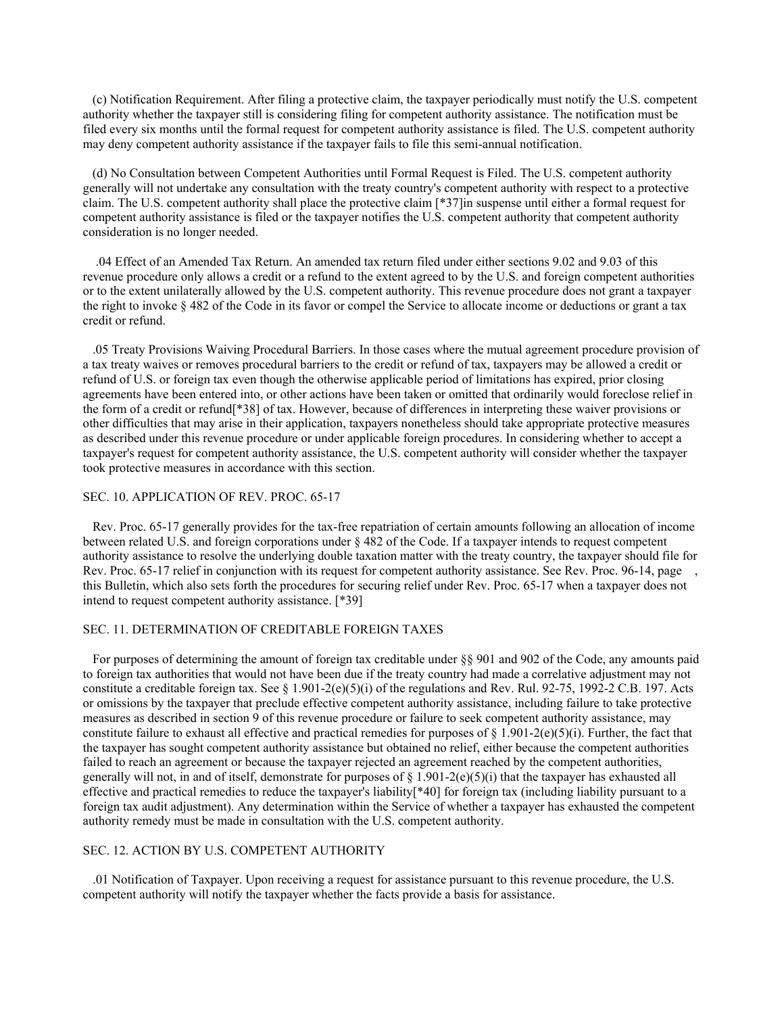(c) Notification Requirement. After filing a protective claim, the taxpayer periodically must notify the U.S. competent authority whether the taxpayer still is considering filing for competent authority assistance. The notification must be filed every six months until the formal request for competent authority assistance is filed. The U.S. competent authority may deny competent authority assistance if the taxpayer fails to file this semi-annual notification.

 (d) No Consultation between Competent Authorities until Formal Request is Filed. The U.S. competent authority generally will not undertake any consultation with the treaty country's competent authority with respect to a protective claim. The U.S. competent authority shall place the protective claim [\*37]in suspense until either a formal request for competent authority assistance is filed or the taxpayer notifies the U.S. competent authority that competent authority consideration is no longer needed.

 .04 Effect of an Amended Tax Return. An amended tax return filed under either sections 9.02 and 9.03 of this revenue procedure only allows a credit or a refund to the extent agreed to by the U.S. and foreign competent authorities or to the extent unilaterally allowed by the U.S. competent authority. This revenue procedure does not grant a taxpayer the right to invoke § 482 of the Code in its favor or compel the Service to allocate income or deductions or grant a tax credit or refund.

 .05 Treaty Provisions Waiving Procedural Barriers. In those cases where the mutual agreement procedure provision of a tax treaty waives or removes procedural barriers to the credit or refund of tax, taxpayers may be allowed a credit or refund of U.S. or foreign tax even though the otherwise applicable period of limitations has expired, prior closing agreements have been entered into, or other actions have been taken or omitted that ordinarily would foreclose relief in the form of a credit or refund[\*38] of tax. However, because of differences in interpreting these waiver provisions or other difficulties that may arise in their application, taxpayers nonetheless should take appropriate protective measures as described under this revenue procedure or under applicable foreign procedures. In considering whether to accept a taxpayer's request for competent authority assistance, the U.S. competent authority will consider whether the taxpayer took protective measures in accordance with this section.

#### SEC. 10. APPLICATION OF REV. PROC. 65-17

 Rev. Proc. 65-17 generally provides for the tax-free repatriation of certain amounts following an allocation of income between related U.S. and foreign corporations under § 482 of the Code. If a taxpayer intends to request competent authority assistance to resolve the underlying double taxation matter with the treaty country, the taxpayer should file for Rev. Proc. 65-17 relief in conjunction with its request for competent authority assistance. See Rev. Proc. 96-14, page this Bulletin, which also sets forth the procedures for securing relief under Rev. Proc. 65-17 when a taxpayer does not intend to request competent authority assistance. [\*39]

# SEC. 11. DETERMINATION OF CREDITABLE FOREIGN TAXES

 For purposes of determining the amount of foreign tax creditable under §§ 901 and 902 of the Code, any amounts paid to foreign tax authorities that would not have been due if the treaty country had made a correlative adjustment may not constitute a creditable foreign tax. See § 1.901-2(e)(5)(i) of the regulations and Rev. Rul. 92-75, 1992-2 C.B. 197. Acts or omissions by the taxpayer that preclude effective competent authority assistance, including failure to take protective measures as described in section 9 of this revenue procedure or failure to seek competent authority assistance, may constitute failure to exhaust all effective and practical remedies for purposes of  $\S$  1.901-2(e)(5)(i). Further, the fact that the taxpayer has sought competent authority assistance but obtained no relief, either because the competent authorities failed to reach an agreement or because the taxpayer rejected an agreement reached by the competent authorities, generally will not, in and of itself, demonstrate for purposes of  $\S$  1.901-2(e)(5)(i) that the taxpayer has exhausted all effective and practical remedies to reduce the taxpayer's liability[\*40] for foreign tax (including liability pursuant to a foreign tax audit adjustment). Any determination within the Service of whether a taxpayer has exhausted the competent authority remedy must be made in consultation with the U.S. competent authority.

### SEC. 12. ACTION BY U.S. COMPETENT AUTHORITY

 .01 Notification of Taxpayer. Upon receiving a request for assistance pursuant to this revenue procedure, the U.S. competent authority will notify the taxpayer whether the facts provide a basis for assistance.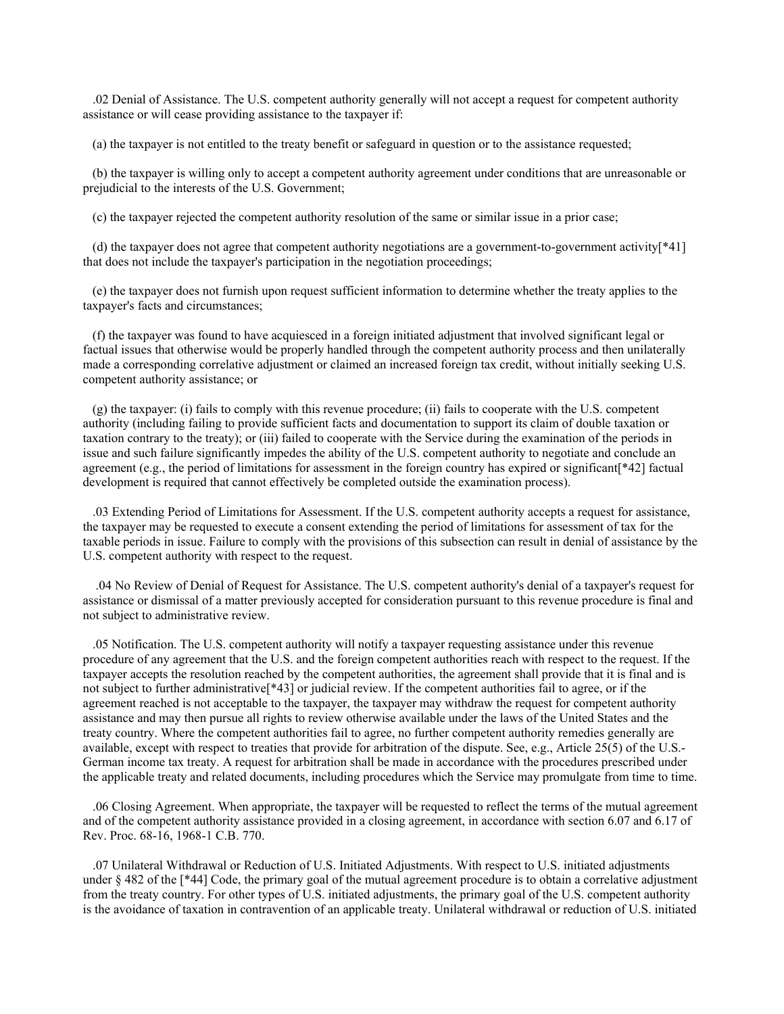.02 Denial of Assistance. The U.S. competent authority generally will not accept a request for competent authority assistance or will cease providing assistance to the taxpayer if:

(a) the taxpayer is not entitled to the treaty benefit or safeguard in question or to the assistance requested;

 (b) the taxpayer is willing only to accept a competent authority agreement under conditions that are unreasonable or prejudicial to the interests of the U.S. Government;

(c) the taxpayer rejected the competent authority resolution of the same or similar issue in a prior case;

 (d) the taxpayer does not agree that competent authority negotiations are a government-to-government activity[\*41] that does not include the taxpayer's participation in the negotiation proceedings;

 (e) the taxpayer does not furnish upon request sufficient information to determine whether the treaty applies to the taxpayer's facts and circumstances;

 (f) the taxpayer was found to have acquiesced in a foreign initiated adjustment that involved significant legal or factual issues that otherwise would be properly handled through the competent authority process and then unilaterally made a corresponding correlative adjustment or claimed an increased foreign tax credit, without initially seeking U.S. competent authority assistance; or

 (g) the taxpayer: (i) fails to comply with this revenue procedure; (ii) fails to cooperate with the U.S. competent authority (including failing to provide sufficient facts and documentation to support its claim of double taxation or taxation contrary to the treaty); or (iii) failed to cooperate with the Service during the examination of the periods in issue and such failure significantly impedes the ability of the U.S. competent authority to negotiate and conclude an agreement (e.g., the period of limitations for assessment in the foreign country has expired or significant[\*42] factual development is required that cannot effectively be completed outside the examination process).

 .03 Extending Period of Limitations for Assessment. If the U.S. competent authority accepts a request for assistance, the taxpayer may be requested to execute a consent extending the period of limitations for assessment of tax for the taxable periods in issue. Failure to comply with the provisions of this subsection can result in denial of assistance by the U.S. competent authority with respect to the request.

 .04 No Review of Denial of Request for Assistance. The U.S. competent authority's denial of a taxpayer's request for assistance or dismissal of a matter previously accepted for consideration pursuant to this revenue procedure is final and not subject to administrative review.

 .05 Notification. The U.S. competent authority will notify a taxpayer requesting assistance under this revenue procedure of any agreement that the U.S. and the foreign competent authorities reach with respect to the request. If the taxpayer accepts the resolution reached by the competent authorities, the agreement shall provide that it is final and is not subject to further administrative[\*43] or judicial review. If the competent authorities fail to agree, or if the agreement reached is not acceptable to the taxpayer, the taxpayer may withdraw the request for competent authority assistance and may then pursue all rights to review otherwise available under the laws of the United States and the treaty country. Where the competent authorities fail to agree, no further competent authority remedies generally are available, except with respect to treaties that provide for arbitration of the dispute. See, e.g., Article 25(5) of the U.S.- German income tax treaty. A request for arbitration shall be made in accordance with the procedures prescribed under the applicable treaty and related documents, including procedures which the Service may promulgate from time to time.

 .06 Closing Agreement. When appropriate, the taxpayer will be requested to reflect the terms of the mutual agreement and of the competent authority assistance provided in a closing agreement, in accordance with section 6.07 and 6.17 of Rev. Proc. 68-16, 1968-1 C.B. 770.

 .07 Unilateral Withdrawal or Reduction of U.S. Initiated Adjustments. With respect to U.S. initiated adjustments under § 482 of the [\*44] Code, the primary goal of the mutual agreement procedure is to obtain a correlative adjustment from the treaty country. For other types of U.S. initiated adjustments, the primary goal of the U.S. competent authority is the avoidance of taxation in contravention of an applicable treaty. Unilateral withdrawal or reduction of U.S. initiated